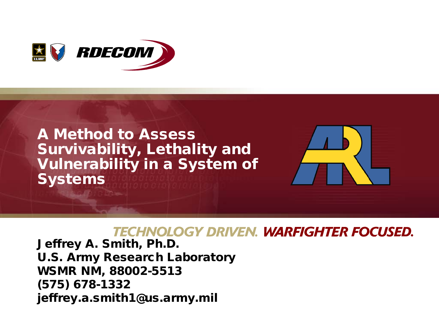

## A Method to Assess Survivability, Lethality and Vulnerability in a System of Systems



### **TECHNOLOGY DRIVEN. WARFIGHTER FOCUSED.**

Jeffrey A. Smith, Ph.D. U.S. Army Research Laboratory WSMR NM, 88002-5513 (575) 678-1332 jeffrey.a.smith1@us.army.mil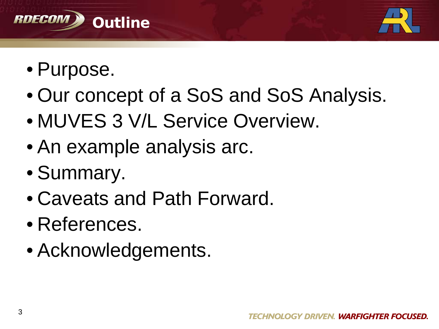



- Purpose.
- Our concept of a SoS and SoS Analysis.
- MUVES 3 V/L Service Overview.
- An example analysis arc.
- Summary.
- Caveats and Path Forward.
- References.
- Acknowledgements.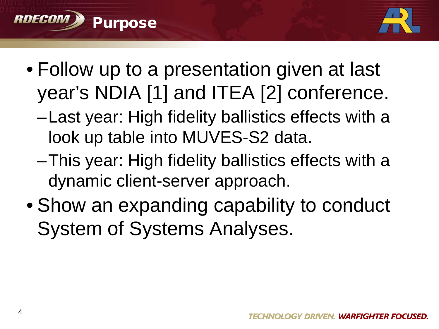



- Follow up to a presentation given at last year's NDIA [1] and ITEA [2] conference.
	- –Last year: High fidelity ballistics effects with a look up table into MUVES-S2 data.
	- –This year: High fidelity ballistics effects with a dynamic client-server approach.
- Show an expanding capability to conduct System of Systems Analyses.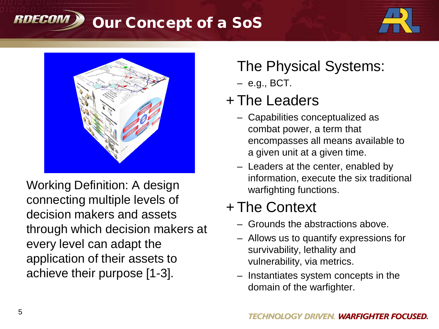#### Our Concept of a SoS RDECON





Working Definition: A design connecting multiple levels of decision makers and assets through which decision makers at every level can adapt the application of their assets to achieve their purpose [1-3].

# The Physical Systems:

– e.g., BCT.

# + The Leaders

- Capabilities conceptualized as combat power, a term that encompasses all means available to a given unit at a given time.
- Leaders at the center, enabled by information, execute the six traditional warfighting functions.

# + The Context

- Grounds the abstractions above.
- Allows us to quantify expressions for survivability, lethality and vulnerability, via metrics.
- Instantiates system concepts in the domain of the warfighter.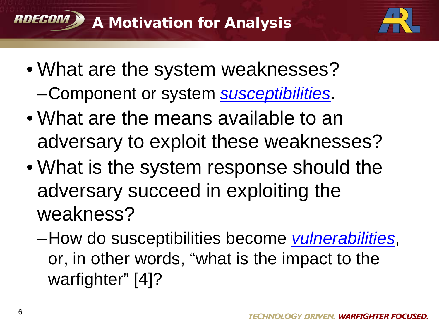



- What are the system weaknesses?
	- –Component or system *susceptibilities***.**
- What are the means available to an adversary to exploit these weaknesses?
- What is the system response should the adversary succeed in exploiting the weakness?
	- –How do susceptibilities become *vulnerabilities*, or, in other words, "what is the impact to the warfighter" [4]?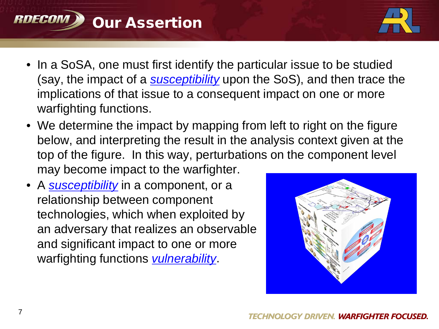



- In a SoSA, one must first identify the particular issue to be studied (say, the impact of a *susceptibility* upon the SoS), and then trace the implications of that issue to a consequent impact on one or more warfighting functions.
- We determine the impact by mapping from left to right on the figure below, and interpreting the result in the analysis context given at the top of the figure. In this way, perturbations on the component level may become impact to the warfighter.
- A *susceptibility* in a component, or a relationship between component technologies, which when exploited by an adversary that realizes an observable and significant impact to one or more warfighting functions *vulnerability*.

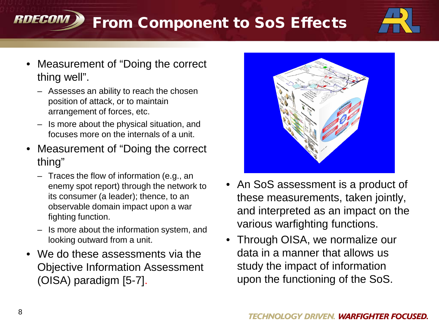# From Component to SoS Effects



- Measurement of "Doing the correct thing well".
	- Assesses an ability to reach the chosen position of attack, or to maintain arrangement of forces, etc.
	- Is more about the physical situation, and focuses more on the internals of a unit.
- Measurement of "Doing the correct" thing"
	- Traces the flow of information (e.g., an enemy spot report) through the network to its consumer (a leader); thence, to an observable domain impact upon a war fighting function.
	- Is more about the information system, and looking outward from a unit.
- We do these assessments via the Objective Information Assessment (OISA) paradigm [5-7].



- An SoS assessment is a product of these measurements, taken jointly, and interpreted as an impact on the various warfighting functions.
- Through OISA, we normalize our data in a manner that allows us study the impact of information upon the functioning of the SoS.

RDECON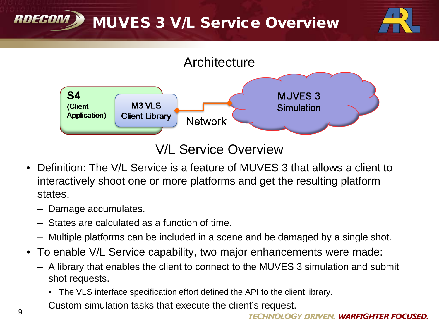#### RDECOM MUVES 3 V/L Service Overview





### V/L Service Overview

- Definition: The V/L Service is a feature of MUVES 3 that allows a client to interactively shoot one or more platforms and get the resulting platform states.
	- Damage accumulates.
	- States are calculated as a function of time.
	- Multiple platforms can be included in a scene and be damaged by a single shot.
- To enable V/L Service capability, two major enhancements were made:
	- A library that enables the client to connect to the MUVES 3 simulation and submit shot requests.
		- The VLS interface specification effort defined the API to the client library.
	- Custom simulation tasks that execute the client's request.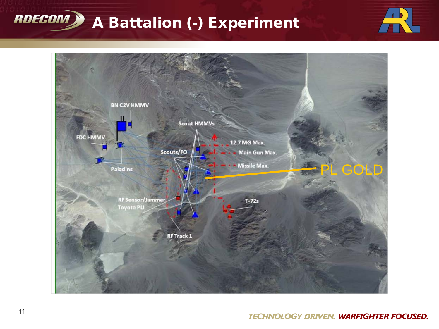



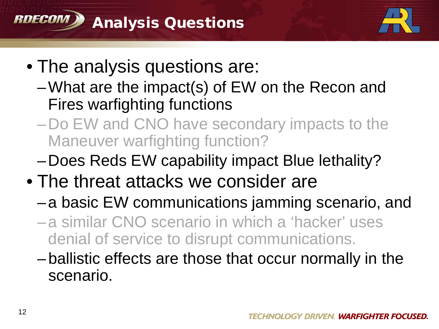



- The analysis questions are:
	- –What are the impact(s) of EW on the Recon and Fires warfighting functions
	- –Do EW and CNO have secondary impacts to the Maneuver warfighting function?
	- –Does Reds EW capability impact Blue lethality?
- The threat attacks we consider are
	- –a basic EW communications jamming scenario, and
	- –a similar CNO scenario in which a 'hacker' uses denial of service to disrupt communications.
	- –ballistic effects are those that occur normally in the scenario.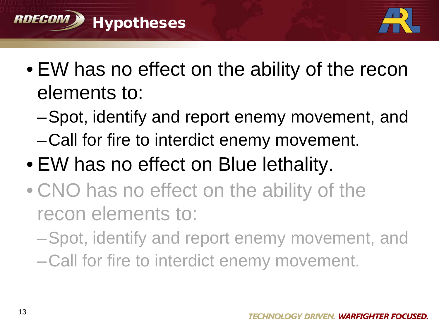



- EW has no effect on the ability of the recon elements to:
	- –Spot, identify and report enemy movement, and
	- –Call for fire to interdict enemy movement.
- EW has no effect on Blue lethality.
- CNO has no effect on the ability of the recon elements to:
	- –Spot, identify and report enemy movement, and
	- –Call for fire to interdict enemy movement.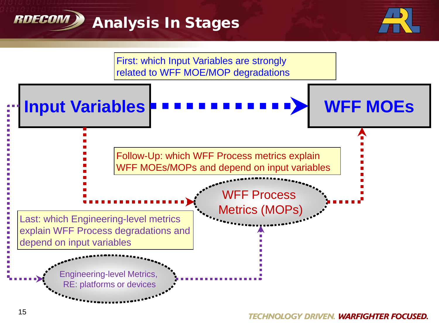



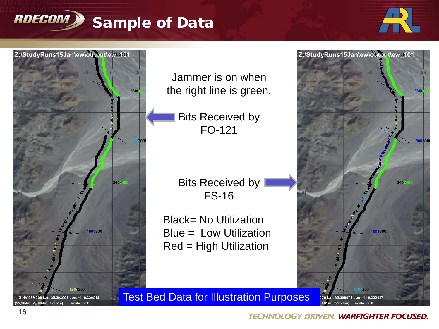



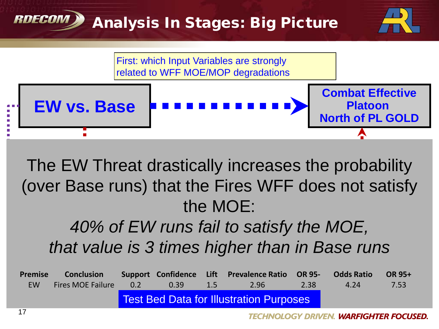### RNFCAN Analysis In Stages: Big Picture





### $\mathbb{F}_{\mathbb{F}_{p}}$   $\mathbb{F}_{p}$   $\mathbb{F}_{p}$   $\mathbb{F}_{p}$   $\mathbb{F}_{p}$   $\mathbb{F}_{p}$   $\mathbb{F}_{p}$   $\mathbb{F}_{p}$   $\mathbb{F}_{p}$   $\mathbb{F}_{p}$   $\mathbb{F}_{p}$   $\mathbb{F}_{p}$   $\mathbb{F}_{p}$   $\mathbb{F}_{p}$   $\mathbb{F}_{p}$   $\mathbb{F}_{p}$   $\mathbb{F}_{p}$   $\mathbb{F}_{p}$   $\mathbb{F}_{p}$   $\mathbb{F$ The EW Threat drastically increases the probability  $\overline{P}$   $\overline{P}$ the MOE: (over Base runs) that the Fires WFF does not satisfy

### $\Delta OQ \sim L \Gamma M/m \omega$ *40% of EW runs fail to satisfy the MOE,* that value is 3 times higher than in Base runs

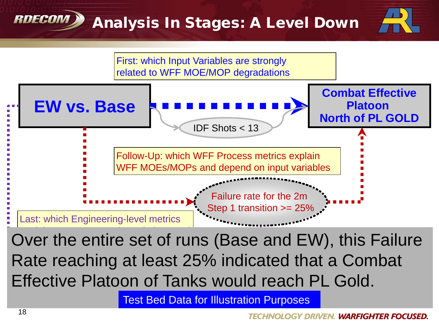# Analysis In Stages: A Level Down





 $E = \nabla \cdot \nabla \cdot \nabla \cdot \nabla \cdot \nabla \cdot \nabla \cdot \nabla \cdot \nabla \cdot \nabla \cdot \nabla \cdot \nabla \cdot \nabla \cdot \nabla \cdot \nabla \cdot \nabla \cdot \nabla \cdot \nabla \cdot \nabla \cdot \nabla \cdot \nabla \cdot \nabla \cdot \nabla \cdot \nabla \cdot \nabla \cdot \nabla \cdot \nabla \cdot \nabla \cdot \nabla \cdot \nabla \cdot \nabla \cdot \nabla \cdot \nabla \cdot \nabla \cdot \nabla \cdot \nabla \cdot \nabla \cdot \n$ Effective Platoon of Tanks would reach PL Gold. Over the entire set of runs (Base and EW), this Failure Rate reaching at least 25% indicated that a Combat

Test Bed Data for Illustration Purposes

RDECON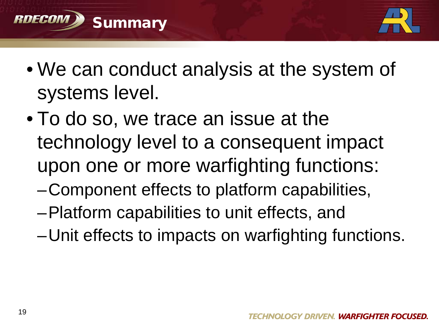



- We can conduct analysis at the system of systems level.
- To do so, we trace an issue at the technology level to a consequent impact upon one or more warfighting functions:
	- –Component effects to platform capabilities,
	- –Platform capabilities to unit effects, and
	- –Unit effects to impacts on warfighting functions.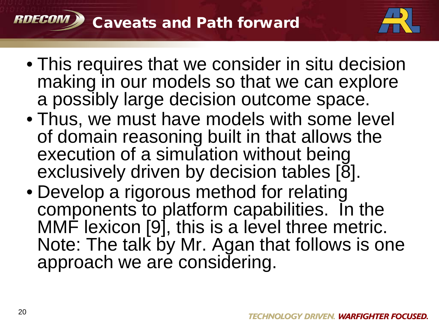

- This requires that we consider in situ decision making in our models so that we can explore a possibly large decision outcome space.
- Thus, we must have models with some level of domain reasoning built in that allows the execution of a simulation without being exclusively driven by decision tables [8].
- Develop a rigorous method for relating components to platform capabilities. In the MMF lexicon [9], this is a level three metric. Note: The talk by Mr. Agan that follows is one approach we are considering.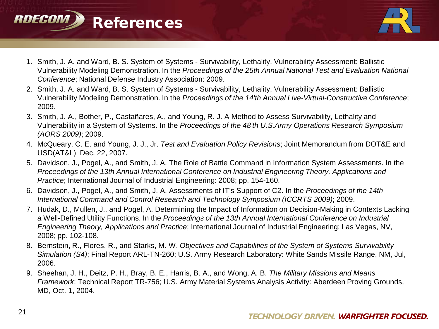



- 1. Smith, J. A. and Ward, B. S. System of Systems Survivability, Lethality, Vulnerability Assessment: Ballistic Vulnerability Modeling Demonstration. In the *Proceedings of the 25th Annual National Test and Evaluation National Conference*; National Defense Industry Association: 2009.
- 2. Smith, J. A. and Ward, B. S. System of Systems Survivability, Lethality, Vulnerability Assessment: Ballistic Vulnerability Modeling Demonstration. In the *Proceedings of the 14'th Annual Live-Virtual-Constructive Conference*; 2009.
- 3. Smith, J. A., Bother, P., Castañares, A., and Young, R. J. A Method to Assess Survivability, Lethality and Vulnerability in a System of Systems. In the *Proceedings of the 48'th U.S.Army Operations Research Symposium (AORS 2009)*; 2009.
- 4. McQueary, C. E. and Young, J. J., Jr. *Test and Evaluation Policy Revisions*; Joint Memorandum from DOT&E and USD(AT&L) Dec. 22, 2007.
- 5. Davidson, J., Pogel, A., and Smith, J. A. The Role of Battle Command in Information System Assessments. In the *Proceedings of the 13th Annual International Conference on Industrial Engineering Theory, Applications and Practice*; International Journal of Industrial Engineering: 2008; pp. 154-160.
- 6. Davidson, J., Pogel, A., and Smith, J. A. Assessments of IT's Support of C2. In the *Proceedings of the 14th International Command and Control Research and Technology Symposium (ICCRTS 2009)*; 2009.
- 7. Hudak, D., Mullen, J., and Pogel, A. Determining the Impact of Information on Decision-Making in Contexts Lacking a Well-Defined Utility Functions. In the *Proceedings of the 13th Annual International Conference on Industrial Engineering Theory, Applications and Practice*; International Journal of Industrial Engineering: Las Vegas, NV, 2008; pp. 102-108.
- 8. Bernstein, R., Flores, R., and Starks, M. W. *Objectives and Capabilities of the System of Systems Survivability Simulation (S4)*; Final Report ARL-TN-260; U.S. Army Research Laboratory: White Sands Missile Range, NM, Jul, 2006.
- 9. Sheehan, J. H., Deitz, P. H., Bray, B. E., Harris, B. A., and Wong, A. B. *The Military Missions and Means Framework*; Technical Report TR-756; U.S. Army Material Systems Analysis Activity: Aberdeen Proving Grounds, MD, Oct. 1, 2004.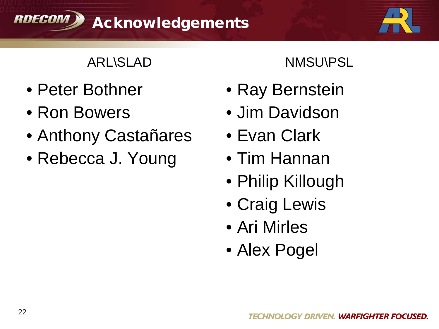



### ARL\SLAD NMSU\PSL

- Peter Bothner
- Ron Bowers
- Anthony Castañares
- Rebecca J. Young

- Ray Bernstein
- Jim Davidson
- Evan Clark
- Tim Hannan
- Philip Killough
- Craig Lewis
- Ari Mirles
- Alex Pogel